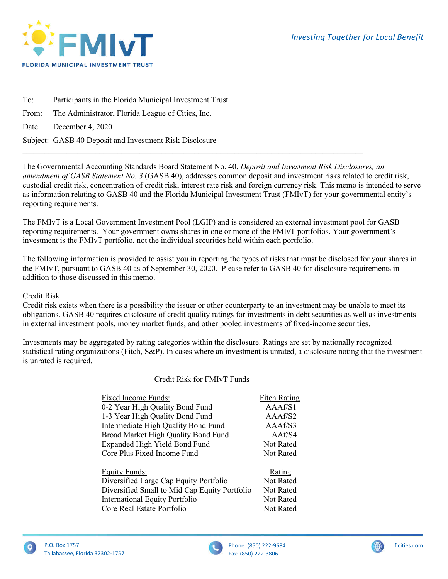

To: Participants in the Florida Municipal Investment Trust From: The Administrator, Florida League of Cities, Inc. Date: December 4, 2020 Subject: GASB 40 Deposit and Investment Risk Disclosure

The Governmental Accounting Standards Board Statement No. 40, *Deposit and Investment Risk Disclosures, an amendment of GASB Statement No. 3* (GASB 40), addresses common deposit and investment risks related to credit risk, custodial credit risk, concentration of credit risk, interest rate risk and foreign currency risk. This memo is intended to serve as information relating to GASB 40 and the Florida Municipal Investment Trust (FMIvT) for your governmental entity's reporting requirements.

The FMIvT is a Local Government Investment Pool (LGIP) and is considered an external investment pool for GASB reporting requirements. Your government owns shares in one or more of the FMIvT portfolios. Your government's investment is the FMIvT portfolio, not the individual securities held within each portfolio.

 $\mathcal{L}_\mathcal{L} = \{ \mathcal{L}_\mathcal{L} = \{ \mathcal{L}_\mathcal{L} = \{ \mathcal{L}_\mathcal{L} = \{ \mathcal{L}_\mathcal{L} = \{ \mathcal{L}_\mathcal{L} = \{ \mathcal{L}_\mathcal{L} = \{ \mathcal{L}_\mathcal{L} = \{ \mathcal{L}_\mathcal{L} = \{ \mathcal{L}_\mathcal{L} = \{ \mathcal{L}_\mathcal{L} = \{ \mathcal{L}_\mathcal{L} = \{ \mathcal{L}_\mathcal{L} = \{ \mathcal{L}_\mathcal{L} = \{ \mathcal{L}_\mathcal{$ 

The following information is provided to assist you in reporting the types of risks that must be disclosed for your shares in the FMIvT, pursuant to GASB 40 as of September 30, 2020. Please refer to GASB 40 for disclosure requirements in addition to those discussed in this memo.

# Credit Risk

Credit risk exists when there is a possibility the issuer or other counterparty to an investment may be unable to meet its obligations. GASB 40 requires disclosure of credit quality ratings for investments in debt securities as well as investments in external investment pools, money market funds, and other pooled investments of fixed-income securities.

Investments may be aggregated by rating categories within the disclosure. Ratings are set by nationally recognized statistical rating organizations (Fitch, S&P). In cases where an investment is unrated, a disclosure noting that the investment is unrated is required.

# Credit Risk for FMIvT Funds

| Fixed Income Funds:                           | <b>Fitch Rating</b> |
|-----------------------------------------------|---------------------|
| 0-2 Year High Quality Bond Fund               | A A A f / S1        |
| 1-3 Year High Quality Bond Fund               | AAAf/S2             |
| Intermediate High Quality Bond Fund           | AAAf/S3             |
| Broad Market High Quality Bond Fund           | AAf/S4              |
| Expanded High Yield Bond Fund                 | Not Rated           |
| Core Plus Fixed Income Fund                   | <b>Not Rated</b>    |
| <b>Equity Funds:</b>                          | Rating              |
| Diversified Large Cap Equity Portfolio        | Not Rated           |
| Diversified Small to Mid Cap Equity Portfolio | <b>Not Rated</b>    |
| <b>International Equity Portfolio</b>         | <b>Not Rated</b>    |
| Core Real Estate Portfolio                    | <b>Not Rated</b>    |